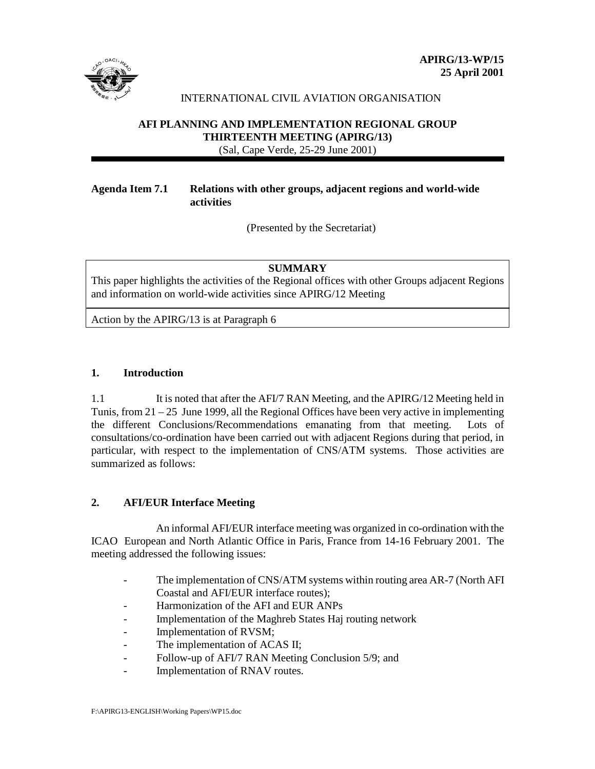

# INTERNATIONAL CIVIL AVIATION ORGANISATION

# **AFI PLANNING AND IMPLEMENTATION REGIONAL GROUP THIRTEENTH MEETING (APIRG/13)** (Sal, Cape Verde, 25-29 June 2001)

## **Agenda Item 7.1 Relations with other groups, adjacent regions and world-wide activities**

(Presented by the Secretariat)

### **SUMMARY**

This paper highlights the activities of the Regional offices with other Groups adjacent Regions and information on world-wide activities since APIRG/12 Meeting

Action by the APIRG/13 is at Paragraph 6

### **1. Introduction**

1.1 It is noted that after the AFI/7 RAN Meeting, and the APIRG/12 Meeting held in Tunis, from 21 – 25 June 1999, all the Regional Offices have been very active in implementing the different Conclusions/Recommendations emanating from that meeting. Lots of consultations/co-ordination have been carried out with adjacent Regions during that period, in particular, with respect to the implementation of CNS/ATM systems. Those activities are summarized as follows:

# **2. AFI/EUR Interface Meeting**

 An informal AFI/EUR interface meeting was organized in co-ordination with the ICAO European and North Atlantic Office in Paris, France from 14-16 February 2001. The meeting addressed the following issues:

- The implementation of CNS/ATM systems within routing area AR-7 (North AFI) Coastal and AFI/EUR interface routes);
- Harmonization of the AFI and EUR ANPs
- Implementation of the Maghreb States Haj routing network
- Implementation of RVSM;
- The implementation of ACAS II;
- Follow-up of AFI/7 RAN Meeting Conclusion 5/9; and
- Implementation of RNAV routes.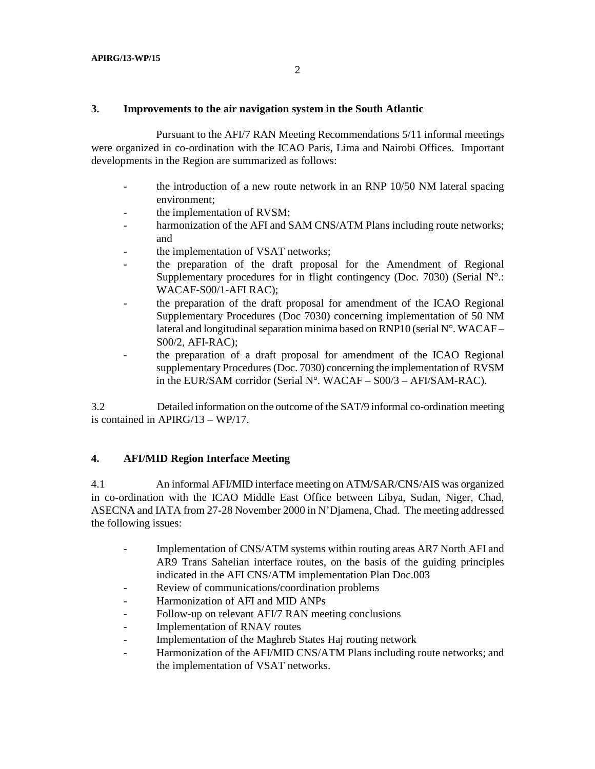#### **3. Improvements to the air navigation system in the South Atlantic**

 Pursuant to the AFI/7 RAN Meeting Recommendations 5/11 informal meetings were organized in co-ordination with the ICAO Paris, Lima and Nairobi Offices. Important developments in the Region are summarized as follows:

- the introduction of a new route network in an RNP 10/50 NM lateral spacing environment;
- the implementation of RVSM;
- harmonization of the AFI and SAM CNS/ATM Plans including route networks; and
- the implementation of VSAT networks;
- the preparation of the draft proposal for the Amendment of Regional Supplementary procedures for in flight contingency (Doc. 7030) (Serial N°.: WACAF-S00/1-AFI RAC);
- the preparation of the draft proposal for amendment of the ICAO Regional Supplementary Procedures (Doc 7030) concerning implementation of 50 NM lateral and longitudinal separation minima based on RNP10 (serial  $N^{\circ}$ . WACAF – S00/2, AFI-RAC);
- the preparation of a draft proposal for amendment of the ICAO Regional supplementary Procedures (Doc. 7030) concerning the implementation of RVSM in the EUR/SAM corridor (Serial N°. WACAF – S00/3 – AFI/SAM-RAC).

3.2 Detailed information on the outcome of the SAT/9 informal co-ordination meeting is contained in APIRG/13 – WP/17.

### **4. AFI/MID Region Interface Meeting**

4.1 An informal AFI/MID interface meeting on ATM/SAR/CNS/AIS was organized in co-ordination with the ICAO Middle East Office between Libya, Sudan, Niger, Chad, ASECNA and IATA from 27-28 November 2000 in N'Djamena, Chad. The meeting addressed the following issues:

- Implementation of CNS/ATM systems within routing areas AR7 North AFI and AR9 Trans Sahelian interface routes, on the basis of the guiding principles indicated in the AFI CNS/ATM implementation Plan Doc.003
- Review of communications/coordination problems
- Harmonization of AFI and MID ANPs
- Follow-up on relevant AFI/7 RAN meeting conclusions
- Implementation of RNAV routes
- Implementation of the Maghreb States Haj routing network
- Harmonization of the AFI/MID CNS/ATM Plans including route networks; and the implementation of VSAT networks.